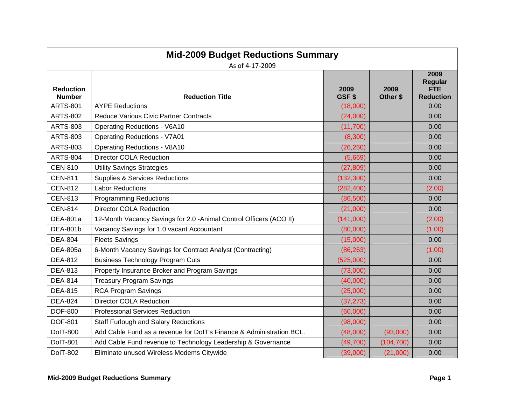| <b>Mid-2009 Budget Reductions Summary</b><br>As of 4-17-2009 |                                                                      |               |                  |                                                          |
|--------------------------------------------------------------|----------------------------------------------------------------------|---------------|------------------|----------------------------------------------------------|
| <b>Reduction</b><br><b>Number</b>                            | <b>Reduction Title</b>                                               | 2009<br>GSF\$ | 2009<br>Other \$ | 2009<br><b>Regular</b><br><b>FTE</b><br><b>Reduction</b> |
| <b>ARTS-801</b>                                              | <b>AYPE Reductions</b>                                               | (18,000)      |                  | 0.00                                                     |
| <b>ARTS-802</b>                                              | Reduce Various Civic Partner Contracts                               | (24,000)      |                  | 0.00                                                     |
| <b>ARTS-803</b>                                              | <b>Operating Reductions - V6A10</b>                                  | (11,700)      |                  | 0.00                                                     |
| <b>ARTS-803</b>                                              | <b>Operating Reductions - V7A01</b>                                  | (8,300)       |                  | 0.00                                                     |
| <b>ARTS-803</b>                                              | <b>Operating Reductions - V8A10</b>                                  | (26, 260)     |                  | 0.00                                                     |
| <b>ARTS-804</b>                                              | <b>Director COLA Reduction</b>                                       | (5,669)       |                  | 0.00                                                     |
| <b>CEN-810</b>                                               | <b>Utility Savings Strategies</b>                                    | (27, 809)     |                  | 0.00                                                     |
| <b>CEN-811</b>                                               | <b>Supplies &amp; Services Reductions</b>                            | (132, 300)    |                  | 0.00                                                     |
| <b>CEN-812</b>                                               | <b>Labor Reductions</b>                                              | (282, 400)    |                  | (2.00)                                                   |
| <b>CEN-813</b>                                               | <b>Programming Reductions</b>                                        | (86, 500)     |                  | 0.00                                                     |
| <b>CEN-814</b>                                               | <b>Director COLA Reduction</b>                                       | (21,000)      |                  | 0.00                                                     |
| <b>DEA-801a</b>                                              | 12-Month Vacancy Savings for 2.0 -Animal Control Officers (ACO II)   | (141,000)     |                  | (2.00)                                                   |
| <b>DEA-801b</b>                                              | Vacancy Savings for 1.0 vacant Accountant                            | (80,000)      |                  | (1.00)                                                   |
| <b>DEA-804</b>                                               | <b>Fleets Savings</b>                                                | (15,000)      |                  | 0.00                                                     |
| <b>DEA-805a</b>                                              | 6-Month Vacancy Savings for Contract Analyst (Contracting)           | (86, 263)     |                  | (1.00)                                                   |
| <b>DEA-812</b>                                               | <b>Business Technology Program Cuts</b>                              | (525,000)     |                  | 0.00                                                     |
| <b>DEA-813</b>                                               | Property Insurance Broker and Program Savings                        | (73,000)      |                  | 0.00                                                     |
| <b>DEA-814</b>                                               | <b>Treasury Program Savings</b>                                      | (40,000)      |                  | 0.00                                                     |
| <b>DEA-815</b>                                               | <b>RCA Program Savings</b>                                           | (25,000)      |                  | 0.00                                                     |
| <b>DEA-824</b>                                               | <b>Director COLA Reduction</b>                                       | (37, 273)     |                  | 0.00                                                     |
| <b>DOF-800</b>                                               | <b>Professional Services Reduction</b>                               | (60,000)      |                  | 0.00                                                     |
| <b>DOF-801</b>                                               | <b>Staff Furlough and Salary Reductions</b>                          | (98,000)      |                  | 0.00                                                     |
| <b>DolT-800</b>                                              | Add Cable Fund as a revenue for DoIT's Finance & Administration BCL. | (48,000)      | (93,000)         | 0.00                                                     |
| <b>DoIT-801</b>                                              | Add Cable Fund revenue to Technology Leadership & Governance         | (49,700)      | (104, 700)       | 0.00                                                     |
| <b>DolT-802</b>                                              | Eliminate unused Wireless Modems Citywide                            | (39,000)      | (21,000)         | 0.00                                                     |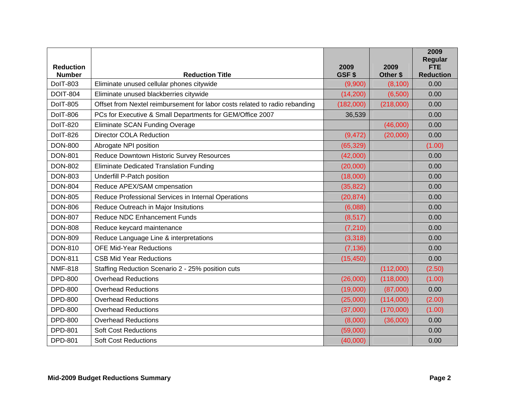| <b>Reduction</b><br><b>Number</b> | <b>Reduction Title</b>                                                      | 2009<br>GSF\$ | 2009<br>Other \$ | 2009<br>Regular<br><b>FTE</b><br><b>Reduction</b> |
|-----------------------------------|-----------------------------------------------------------------------------|---------------|------------------|---------------------------------------------------|
| <b>DolT-803</b>                   | Eliminate unused cellular phones citywide                                   | (9,900)       | (8, 100)         | 0.00                                              |
| <b>DOIT-804</b>                   | Eliminate unused blackberries citywide                                      | (14, 200)     | (6,500)          | 0.00                                              |
| <b>DoIT-805</b>                   | Offset from Nextel reimbursement for labor costs related to radio rebanding | (182,000)     | (218,000)        | 0.00                                              |
| <b>DolT-806</b>                   | PCs for Executive & Small Departments for GEM/Office 2007                   | 36,539        |                  | 0.00                                              |
| <b>DoIT-820</b>                   | Eliminate SCAN Funding Overage                                              |               | (46,000)         | 0.00                                              |
| <b>DolT-826</b>                   | <b>Director COLA Reduction</b>                                              | (9, 472)      | (20,000)         | 0.00                                              |
| <b>DON-800</b>                    | Abrogate NPI position                                                       | (65, 329)     |                  | (1.00)                                            |
| <b>DON-801</b>                    | Reduce Downtown Historic Survey Resources                                   | (42,000)      |                  | 0.00                                              |
| <b>DON-802</b>                    | <b>Eliminate Dedicated Translation Funding</b>                              | (20,000)      |                  | 0.00                                              |
| <b>DON-803</b>                    | Underfill P-Patch position                                                  | (18,000)      |                  | 0.00                                              |
| <b>DON-804</b>                    | Reduce APEX/SAM cmpensation                                                 | (35, 822)     |                  | 0.00                                              |
| <b>DON-805</b>                    | Reduce Professional Services in Internal Operations                         | (20, 874)     |                  | 0.00                                              |
| <b>DON-806</b>                    | Reduce Outreach in Major Insitutions                                        | (6,088)       |                  | 0.00                                              |
| <b>DON-807</b>                    | <b>Reduce NDC Enhancement Funds</b>                                         | (8, 517)      |                  | 0.00                                              |
| <b>DON-808</b>                    | Reduce keycard maintenance                                                  | (7, 210)      |                  | 0.00                                              |
| <b>DON-809</b>                    | Reduce Language Line & interpretations                                      | (3,318)       |                  | 0.00                                              |
| <b>DON-810</b>                    | <b>OFE Mid-Year Reductions</b>                                              | (7, 136)      |                  | 0.00                                              |
| <b>DON-811</b>                    | <b>CSB Mid Year Reductions</b>                                              | (15, 450)     |                  | 0.00                                              |
| <b>NMF-818</b>                    | Staffing Reduction Scenario 2 - 25% position cuts                           |               | (112,000)        | (2.50)                                            |
| <b>DPD-800</b>                    | <b>Overhead Reductions</b>                                                  | (26,000)      | (118,000)        | (1.00)                                            |
| <b>DPD-800</b>                    | <b>Overhead Reductions</b>                                                  | (19,000)      | (87,000)         | 0.00                                              |
| <b>DPD-800</b>                    | <b>Overhead Reductions</b>                                                  | (25,000)      | (114,000)        | (2.00)                                            |
| <b>DPD-800</b>                    | <b>Overhead Reductions</b>                                                  | (37,000)      | (170,000)        | (1.00)                                            |
| <b>DPD-800</b>                    | <b>Overhead Reductions</b>                                                  | (8,000)       | (36,000)         | 0.00                                              |
| <b>DPD-801</b>                    | <b>Soft Cost Reductions</b>                                                 | (59,000)      |                  | 0.00                                              |
| <b>DPD-801</b>                    | <b>Soft Cost Reductions</b>                                                 | (40,000)      |                  | 0.00                                              |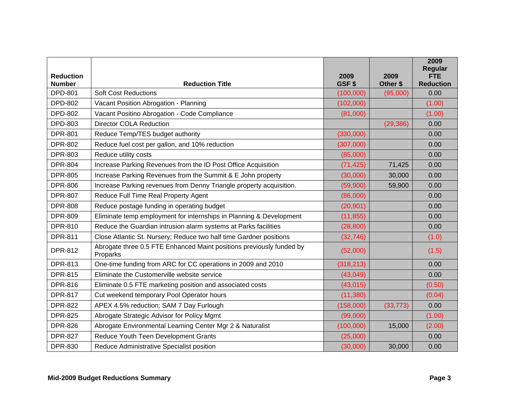| <b>Reduction</b><br><b>Number</b> | <b>Reduction Title</b>                                                           | 2009<br>GSF\$ | 2009<br>Other \$ | 2009<br>Regular<br><b>FTE</b><br><b>Reduction</b> |
|-----------------------------------|----------------------------------------------------------------------------------|---------------|------------------|---------------------------------------------------|
| <b>DPD-801</b>                    | <b>Soft Cost Reductions</b>                                                      | (100,000)     | (95,000)         | 0.00                                              |
| <b>DPD-802</b>                    | Vacant Position Abrogation - Planning                                            | (102,000)     |                  | (1.00)                                            |
| <b>DPD-802</b>                    | Vacant Positino Abrogation - Code Compliance                                     | (81,000)      |                  | (1.00)                                            |
| <b>DPD-803</b>                    | <b>Director COLA Reduction</b>                                                   |               | (29, 386)        | 0.00                                              |
| <b>DPR-801</b>                    | Reduce Temp/TES budget authority                                                 | (330,000)     |                  | 0.00                                              |
| <b>DPR-802</b>                    | Reduce fuel cost per gallon, and 10% reduction                                   | (307,000)     |                  | 0.00                                              |
| <b>DPR-803</b>                    | Reduce utility costs                                                             | (85,000)      |                  | 0.00                                              |
| <b>DPR-804</b>                    | Increase Parking Revenues from the ID Post Office Acquisition                    | (71, 425)     | 71,425           | 0.00                                              |
| <b>DPR-805</b>                    | Increase Parking Revenues from the Summit & E John property                      | (30,000)      | 30,000           | 0.00                                              |
| <b>DPR-806</b>                    | Increase Parking revenues from Denny Triangle property acquisition.              | (59,900)      | 59,900           | 0.00                                              |
| <b>DPR-807</b>                    | Reduce Full Time Real Property Agent                                             | (86,000)      |                  | 0.00                                              |
| <b>DPR-808</b>                    | Reduce postage funding in operating budget                                       | (20, 901)     |                  | 0.00                                              |
| <b>DPR-809</b>                    | Eliminate temp employment for internships in Planning & Development              | (11, 855)     |                  | 0.00                                              |
| <b>DPR-810</b>                    | Reduce the Guardian intrusion alarm systems at Parks facilities                  | (28, 800)     |                  | 0.00                                              |
| <b>DPR-811</b>                    | Close Atlantic St. Nursery; Reduce two half time Gardner positions               | (32, 746)     |                  | (1.0)                                             |
| <b>DPR-812</b>                    | Abrogate three 0.5 FTE Enhanced Maint positions previously funded by<br>Proparks | (52,000)      |                  | (1.5)                                             |
| <b>DPR-813</b>                    | One-time funding from ARC for CC operations in 2009 and 2010                     | (318, 213)    |                  | 0.00                                              |
| <b>DPR-815</b>                    | Eliminate the Customerville website service                                      | (43, 049)     |                  | 0.00                                              |
| <b>DPR-816</b>                    | Eliminate 0.5 FTE marketing position and associated costs                        | (43, 015)     |                  | (0.50)                                            |
| <b>DPR-817</b>                    | Cut weekend temporary Pool Operator hours                                        | (11, 380)     |                  | (0.04)                                            |
| <b>DPR-822</b>                    | APEX 4.5% reduction; SAM 7 Day Furlough                                          | (158,000)     | (33, 773)        | 0.00                                              |
| <b>DPR-825</b>                    | Abrogate Strategic Advisor for Policy Mgmt                                       | (99,000)      |                  | (1.00)                                            |
| <b>DPR-826</b>                    | Abrogate Environmental Learning Center Mgr 2 & Naturalist                        | (100,000)     | 15,000           | (2.00)                                            |
| <b>DPR-827</b>                    | Reduce Youth Teen Development Grants                                             | (25,000)      |                  | 0.00                                              |
| <b>DPR-830</b>                    | Reduce Administrative Specialist position                                        | (30,000)      | 30,000           | 0.00                                              |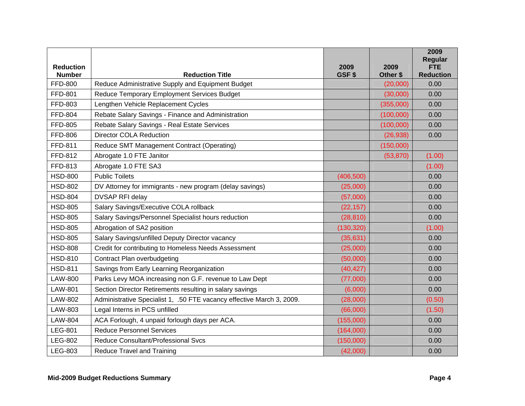| <b>Reduction</b>                |                                                                             | 2009       | 2009      | 2009<br><b>Regular</b><br><b>FTE</b> |
|---------------------------------|-----------------------------------------------------------------------------|------------|-----------|--------------------------------------|
| <b>Number</b><br><b>FFD-800</b> | <b>Reduction Title</b><br>Reduce Administrative Supply and Equipment Budget | GSF\$      | Other \$  | <b>Reduction</b><br>0.00             |
|                                 |                                                                             |            | (20,000)  |                                      |
| <b>FFD-801</b>                  | Reduce Temporary Employment Services Budget                                 |            | (30,000)  | 0.00                                 |
| FFD-803                         | Lengthen Vehicle Replacement Cycles                                         |            | (355,000) | 0.00                                 |
| <b>FFD-804</b>                  | Rebate Salary Savings - Finance and Administration                          |            | (100,000) | 0.00                                 |
| <b>FFD-805</b>                  | Rebate Salary Savings - Real Estate Services                                |            | (100,000) | 0.00                                 |
| <b>FFD-806</b>                  | <b>Director COLA Reduction</b>                                              |            | (26, 938) | 0.00                                 |
| FFD-811                         | Reduce SMT Management Contract (Operating)                                  |            | (150,000) |                                      |
| FFD-812                         | Abrogate 1.0 FTE Janitor                                                    |            | (53, 870) | (1.00)                               |
| FFD-813                         | Abrogate 1.0 FTE SA3                                                        |            |           | (1.00)                               |
| <b>HSD-800</b>                  | <b>Public Toilets</b>                                                       | (406, 500) |           | 0.00                                 |
| <b>HSD-802</b>                  | DV Attorney for immigrants - new program (delay savings)                    | (25,000)   |           | 0.00                                 |
| <b>HSD-804</b>                  | <b>DVSAP RFI delay</b>                                                      | (57,000)   |           | 0.00                                 |
| <b>HSD-805</b>                  | Salary Savings/Executive COLA rollback                                      | (22, 157)  |           | 0.00                                 |
| <b>HSD-805</b>                  | Salary Savings/Personnel Specialist hours reduction                         | (28, 810)  |           | 0.00                                 |
| <b>HSD-805</b>                  | Abrogation of SA2 position                                                  | (130, 320) |           | (1.00)                               |
| <b>HSD-805</b>                  | Salary Savings/unfilled Deputy Director vacancy                             | (35, 631)  |           | 0.00                                 |
| <b>HSD-808</b>                  | Credit for contributing to Homeless Needs Assessment                        | (25,000)   |           | 0.00                                 |
| <b>HSD-810</b>                  | Contract Plan overbudgeting                                                 | (50,000)   |           | 0.00                                 |
| <b>HSD-811</b>                  | Savings from Early Learning Reorganization                                  | (40, 427)  |           | 0.00                                 |
| <b>LAW-800</b>                  | Parks Levy MOA increasing non G.F. revenue to Law Dept                      | (77,000)   |           | 0.00                                 |
| <b>LAW-801</b>                  | Section Director Retirements resulting in salary savings                    | (6,000)    |           | 0.00                                 |
| <b>LAW-802</b>                  | Administrative Specialist 1, .50 FTE vacancy effective March 3, 2009.       | (28,000)   |           | (0.50)                               |
| LAW-803                         | Legal Interns in PCS unfilled                                               | (66,000)   |           | (1.50)                               |
| <b>LAW-804</b>                  | ACA Forlough, 4 unpaid forlough days per ACA.                               | (155,000)  |           | 0.00                                 |
| <b>LEG-801</b>                  | <b>Reduce Personnel Services</b>                                            | (164,000)  |           | 0.00                                 |
| <b>LEG-802</b>                  | Reduce Consultant/Professional Svcs                                         | (150,000)  |           | 0.00                                 |
| <b>LEG-803</b>                  | <b>Reduce Travel and Training</b>                                           | (42,000)   |           | 0.00                                 |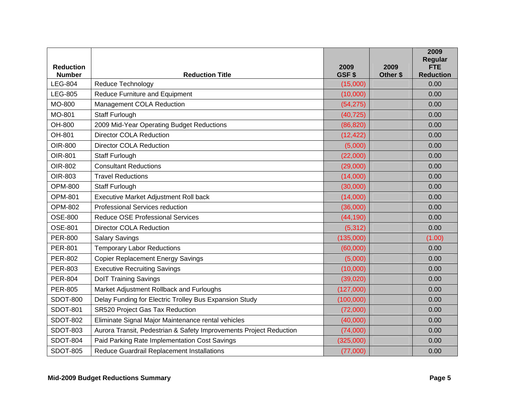| <b>Reduction</b> |                                                                    | 2009      | 2009     | 2009<br><b>Regular</b><br><b>FTE</b> |
|------------------|--------------------------------------------------------------------|-----------|----------|--------------------------------------|
| <b>Number</b>    | <b>Reduction Title</b>                                             | GSF\$     | Other \$ | <b>Reduction</b>                     |
| <b>LEG-804</b>   | Reduce Technology                                                  | (15,000)  |          | 0.00                                 |
| <b>LEG-805</b>   | Reduce Furniture and Equipment                                     | (10,000)  |          | 0.00                                 |
| MO-800           | Management COLA Reduction                                          | (54, 275) |          | 0.00                                 |
| MO-801           | Staff Furlough                                                     | (40, 725) |          | 0.00                                 |
| OH-800           | 2009 Mid-Year Operating Budget Reductions                          | (86, 820) |          | 0.00                                 |
| OH-801           | <b>Director COLA Reduction</b>                                     | (12, 422) |          | 0.00                                 |
| OIR-800          | <b>Director COLA Reduction</b>                                     | (5,000)   |          | 0.00                                 |
| OIR-801          | Staff Furlough                                                     | (22,000)  |          | 0.00                                 |
| OIR-802          | <b>Consultant Reductions</b>                                       | (29,000)  |          | 0.00                                 |
| OIR-803          | <b>Travel Reductions</b>                                           | (14,000)  |          | 0.00                                 |
| <b>OPM-800</b>   | Staff Furlough                                                     | (30,000)  |          | 0.00                                 |
| <b>OPM-801</b>   | Executive Market Adjustment Roll back                              | (14,000)  |          | 0.00                                 |
| <b>OPM-802</b>   | <b>Professional Services reduction</b>                             | (36,000)  |          | 0.00                                 |
| <b>OSE-800</b>   | <b>Reduce OSE Professional Services</b>                            | (44, 190) |          | 0.00                                 |
| <b>OSE-801</b>   | <b>Director COLA Reduction</b>                                     | (5, 312)  |          | 0.00                                 |
| <b>PER-800</b>   | <b>Salary Savings</b>                                              | (135,000) |          | (1.00)                               |
| <b>PER-801</b>   | <b>Temporary Labor Reductions</b>                                  | (60,000)  |          | 0.00                                 |
| <b>PER-802</b>   | <b>Copier Replacement Energy Savings</b>                           | (5,000)   |          | 0.00                                 |
| <b>PER-803</b>   | <b>Executive Recruiting Savings</b>                                | (10,000)  |          | 0.00                                 |
| <b>PER-804</b>   | <b>DoIT Training Savings</b>                                       | (39,020)  |          | 0.00                                 |
| <b>PER-805</b>   | Market Adjustment Rollback and Furloughs                           | (127,000) |          | 0.00                                 |
| <b>SDOT-800</b>  | Delay Funding for Electric Trolley Bus Expansion Study             | (100,000) |          | 0.00                                 |
| <b>SDOT-801</b>  | SR520 Project Gas Tax Reduction                                    | (72,000)  |          | 0.00                                 |
| <b>SDOT-802</b>  | Eliminate Signal Major Maintenance rental vehicles                 | (40,000)  |          | 0.00                                 |
| <b>SDOT-803</b>  | Aurora Transit, Pedestrian & Safety Improvements Project Reduction | (74,000)  |          | 0.00                                 |
| <b>SDOT-804</b>  | Paid Parking Rate Implementation Cost Savings                      | (325,000) |          | 0.00                                 |
| <b>SDOT-805</b>  | Reduce Guardrail Replacement Installations                         | (77,000)  |          | 0.00                                 |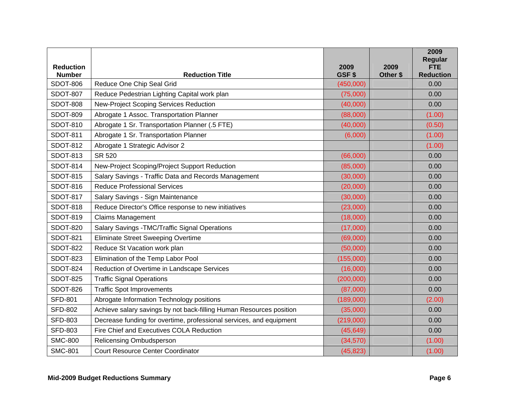|                                   |                                                                     |               |                  | 2009<br>Regular                |
|-----------------------------------|---------------------------------------------------------------------|---------------|------------------|--------------------------------|
| <b>Reduction</b><br><b>Number</b> | <b>Reduction Title</b>                                              | 2009<br>GSF\$ | 2009<br>Other \$ | <b>FTE</b><br><b>Reduction</b> |
| <b>SDOT-806</b>                   | Reduce One Chip Seal Grid                                           | (450,000)     |                  | 0.00                           |
| <b>SDOT-807</b>                   | Reduce Pedestrian Lighting Capital work plan                        | (75,000)      |                  | 0.00                           |
| <b>SDOT-808</b>                   | New-Project Scoping Services Reduction                              | (40,000)      |                  | 0.00                           |
| <b>SDOT-809</b>                   | Abrogate 1 Assoc. Transportation Planner                            | (88,000)      |                  | (1.00)                         |
| <b>SDOT-810</b>                   | Abrogate 1 Sr. Transportation Planner (.5 FTE)                      | (40,000)      |                  | (0.50)                         |
| <b>SDOT-811</b>                   | Abrogate 1 Sr. Transportation Planner                               | (6,000)       |                  | (1.00)                         |
| <b>SDOT-812</b>                   | Abrogate 1 Strategic Advisor 2                                      |               |                  | (1.00)                         |
| <b>SDOT-813</b>                   | <b>SR 520</b>                                                       | (66,000)      |                  | 0.00                           |
| <b>SDOT-814</b>                   | New-Project Scoping/Project Support Reduction                       | (85,000)      |                  | 0.00                           |
| <b>SDOT-815</b>                   | Salary Savings - Traffic Data and Records Management                | (30,000)      |                  | 0.00                           |
| <b>SDOT-816</b>                   | <b>Reduce Professional Services</b>                                 | (20,000)      |                  | 0.00                           |
| <b>SDOT-817</b>                   | Salary Savings - Sign Maintenance                                   | (30,000)      |                  | 0.00                           |
| <b>SDOT-818</b>                   | Reduce Director's Office response to new initiatives                | (23,000)      |                  | 0.00                           |
| <b>SDOT-819</b>                   | <b>Claims Management</b>                                            | (18,000)      |                  | 0.00                           |
| <b>SDOT-820</b>                   | Salary Savings - TMC/Traffic Signal Operations                      | (17,000)      |                  | 0.00                           |
| <b>SDOT-821</b>                   | <b>Eliminate Street Sweeping Overtime</b>                           | (69,000)      |                  | 0.00                           |
| <b>SDOT-822</b>                   | Reduce St Vacation work plan                                        | (50,000)      |                  | 0.00                           |
| <b>SDOT-823</b>                   | Elimination of the Temp Labor Pool                                  | (155,000)     |                  | 0.00                           |
| <b>SDOT-824</b>                   | Reduction of Overtime in Landscape Services                         | (16,000)      |                  | 0.00                           |
| <b>SDOT-825</b>                   | <b>Traffic Signal Operations</b>                                    | (200,000)     |                  | 0.00                           |
| <b>SDOT-826</b>                   | <b>Traffic Spot Improvements</b>                                    | (87,000)      |                  | 0.00                           |
| <b>SFD-801</b>                    | Abrogate Information Technology positions                           | (189,000)     |                  | (2.00)                         |
| <b>SFD-802</b>                    | Achieve salary savings by not back-filling Human Resources position | (35,000)      |                  | 0.00                           |
| <b>SFD-803</b>                    | Decrease funding for overtime, professional services, and equipment | (219,000)     |                  | 0.00                           |
| <b>SFD-803</b>                    | Fire Chief and Executives COLA Reduction                            | (45, 649)     |                  | 0.00                           |
| <b>SMC-800</b>                    | Relicensing Ombudsperson                                            | (34,570)      |                  | (1.00)                         |
| <b>SMC-801</b>                    | <b>Court Resource Center Coordinator</b>                            | (45, 823)     |                  | (1.00)                         |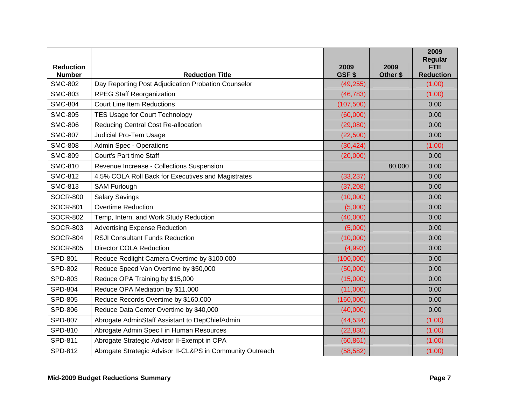| <b>Reduction</b> |                                                           | 2009       | 2009     | 2009<br>Regular<br><b>FTE</b> |
|------------------|-----------------------------------------------------------|------------|----------|-------------------------------|
| <b>Number</b>    | <b>Reduction Title</b>                                    | GSF\$      | Other \$ | <b>Reduction</b>              |
| <b>SMC-802</b>   | Day Reporting Post Adjudication Probation Counselor       | (49, 255)  |          | (1.00)                        |
| <b>SMC-803</b>   | <b>RPEG Staff Reorganization</b>                          | (46, 783)  |          | (1.00)                        |
| <b>SMC-804</b>   | <b>Court Line Item Reductions</b>                         | (107, 500) |          | 0.00                          |
| <b>SMC-805</b>   | <b>TES Usage for Court Technology</b>                     | (60,000)   |          | 0.00                          |
| <b>SMC-806</b>   | <b>Reducing Central Cost Re-allocation</b>                | (29,080)   |          | 0.00                          |
| <b>SMC-807</b>   | Judicial Pro-Tem Usage                                    | (22, 500)  |          | 0.00                          |
| <b>SMC-808</b>   | <b>Admin Spec - Operations</b>                            | (30, 424)  |          | (1.00)                        |
| <b>SMC-809</b>   | Court's Part time Staff                                   | (20,000)   |          | 0.00                          |
| <b>SMC-810</b>   | Revenue Increase - Collections Suspension                 |            | 80,000   | 0.00                          |
| <b>SMC-812</b>   | 4.5% COLA Roll Back for Executives and Magistrates        | (33, 237)  |          | 0.00                          |
| <b>SMC-813</b>   | <b>SAM Furlough</b>                                       | (37, 208)  |          | 0.00                          |
| <b>SOCR-800</b>  | <b>Salary Savings</b>                                     | (10,000)   |          | 0.00                          |
| <b>SOCR-801</b>  | <b>Overtime Reduction</b>                                 | (5,000)    |          | 0.00                          |
| <b>SOCR-802</b>  | Temp, Intern, and Work Study Reduction                    | (40,000)   |          | 0.00                          |
| <b>SOCR-803</b>  | <b>Advertising Expense Reduction</b>                      | (5,000)    |          | 0.00                          |
| <b>SOCR-804</b>  | <b>RSJI Consultant Funds Reduction</b>                    | (10,000)   |          | 0.00                          |
| <b>SOCR-805</b>  | <b>Director COLA Reduction</b>                            | (4,993)    |          | 0.00                          |
| <b>SPD-801</b>   | Reduce Redlight Camera Overtime by \$100,000              | (100,000)  |          | 0.00                          |
| <b>SPD-802</b>   | Reduce Speed Van Overtime by \$50,000                     | (50,000)   |          | 0.00                          |
| <b>SPD-803</b>   | Reduce OPA Training by \$15,000                           | (15,000)   |          | 0.00                          |
| <b>SPD-804</b>   | Reduce OPA Mediation by \$11.000                          | (11,000)   |          | 0.00                          |
| <b>SPD-805</b>   | Reduce Records Overtime by \$160,000                      | (160,000)  |          | 0.00                          |
| <b>SPD-806</b>   | Reduce Data Center Overtime by \$40,000                   | (40,000)   |          | 0.00                          |
| <b>SPD-807</b>   | Abrogate AdminStaff Assistant to DepChiefAdmin            | (44, 534)  |          | (1.00)                        |
| SPD-810          | Abrogate Admin Spec I in Human Resources                  | (22, 830)  |          | (1.00)                        |
| <b>SPD-811</b>   | Abrogate Strategic Advisor II-Exempt in OPA               | (60, 861)  |          | (1.00)                        |
| SPD-812          | Abrogate Strategic Advisor II-CL&PS in Community Outreach | (58, 582)  |          | (1.00)                        |